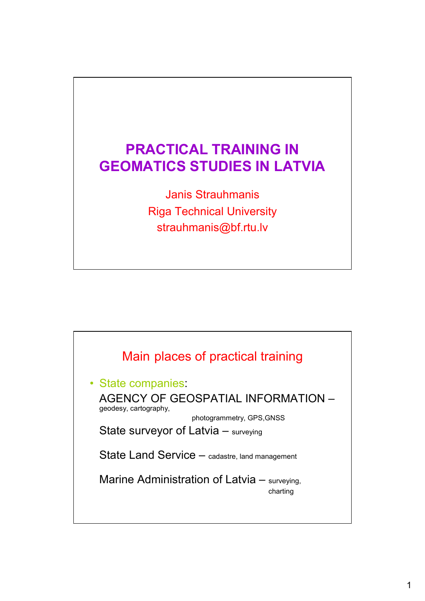# **PRACTICAL TRAINING IN GEOMATICS STUDIES IN LATVIA**

Janis Strauhmanis Riga Technical University strauhmanis@bf.rtu.lv

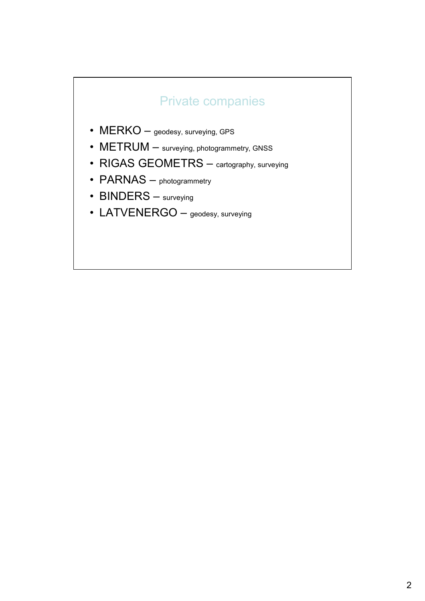#### Private companies

- MERKO geodesy, surveying, GPS
- METRUM surveying, photogrammetry, GNSS
- RIGAS GEOMETRS cartography, surveying
- PARNAS photogrammetry
- BINDERS surveying
- LATVENERGO geodesy, surveying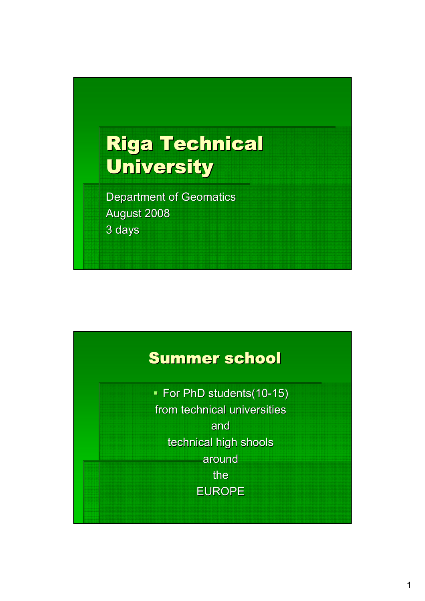# **Riga Technical University**

Department of Geomatics August 2008 3 days

# Summer school

• For PhD students(10-15) from technical universities and technical high shools around the EUROPE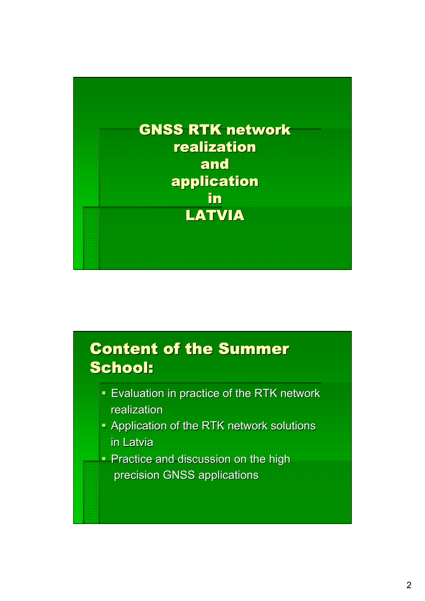

# **Content of the Summer** School:

- **Evaluation in practice of the RTK network** realization
- Application of the RTK network solutions in Latvia
- **Practice and discussion on the high** precision GNSS applications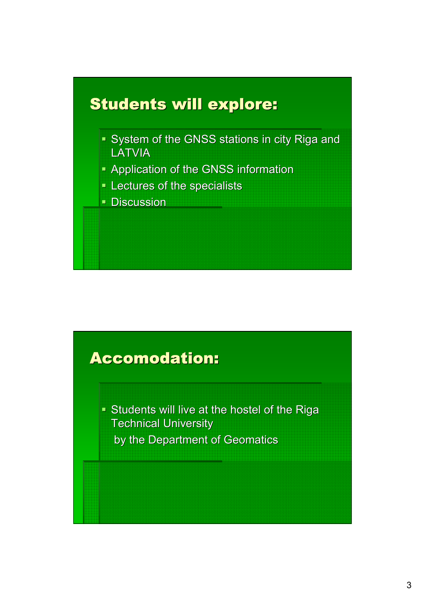

### **Accomodation:**

Students will live at the hostel of the Riga **Technical University** by the Department of Geomatics